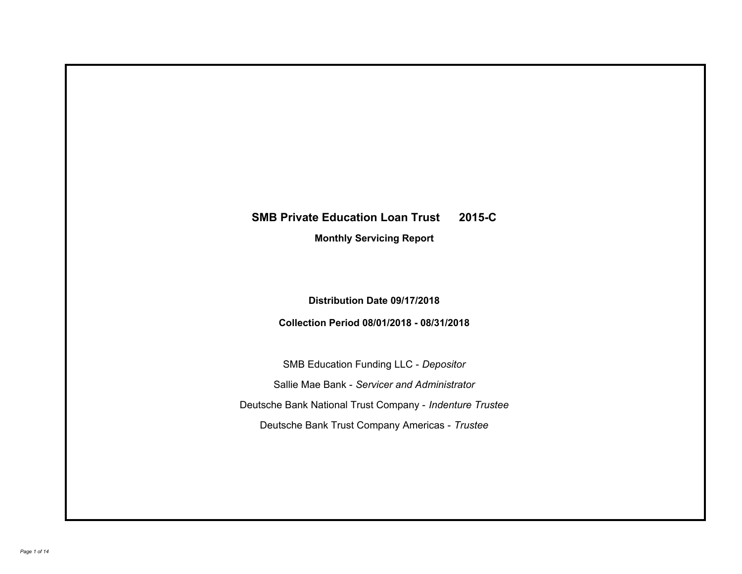# **SMB Private Education Loan Trust 2015-C**

**Monthly Servicing Report**

**Distribution Date 09/17/2018**

**Collection Period 08/01/2018 - 08/31/2018**

SMB Education Funding LLC - *Depositor* Sallie Mae Bank - *Servicer and Administrator* Deutsche Bank National Trust Company - *Indenture Trustee* Deutsche Bank Trust Company Americas - *Trustee*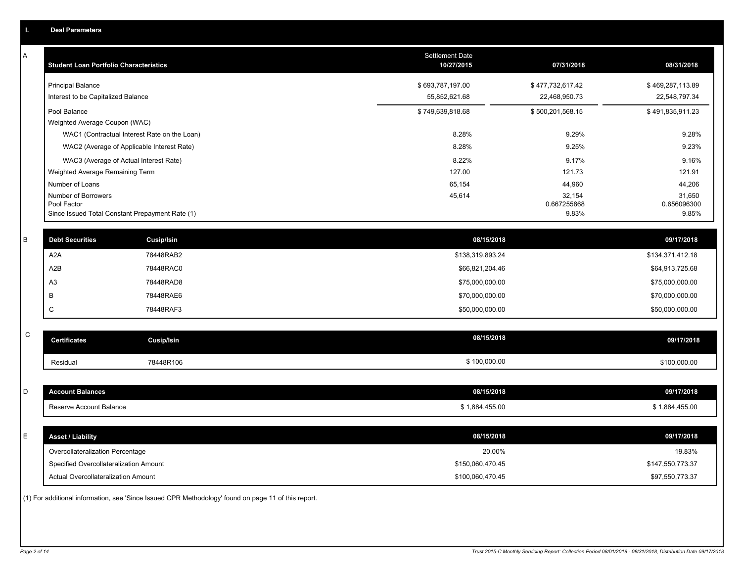|             | <b>Deal Parameters</b>                        |                                                 |                                      |                       |                       |
|-------------|-----------------------------------------------|-------------------------------------------------|--------------------------------------|-----------------------|-----------------------|
| A           | <b>Student Loan Portfolio Characteristics</b> |                                                 | <b>Settlement Date</b><br>10/27/2015 | 07/31/2018            | 08/31/2018            |
|             | <b>Principal Balance</b>                      |                                                 | \$693,787,197.00                     | \$477,732,617.42      | \$469,287,113.89      |
|             | Interest to be Capitalized Balance            |                                                 | 55,852,621.68                        | 22,468,950.73         | 22,548,797.34         |
|             | Pool Balance                                  |                                                 | \$749,639,818.68                     | \$500,201,568.15      | \$491,835,911.23      |
|             | Weighted Average Coupon (WAC)                 |                                                 |                                      |                       |                       |
|             |                                               | WAC1 (Contractual Interest Rate on the Loan)    | 8.28%                                | 9.29%                 | 9.28%                 |
|             |                                               | WAC2 (Average of Applicable Interest Rate)      | 8.28%                                | 9.25%                 | 9.23%                 |
|             |                                               | WAC3 (Average of Actual Interest Rate)          | 8.22%                                | 9.17%                 | 9.16%                 |
|             | Weighted Average Remaining Term               |                                                 | 127.00                               | 121.73                | 121.91                |
|             | Number of Loans                               |                                                 | 65,154                               | 44,960                | 44,206                |
|             | Number of Borrowers<br>Pool Factor            |                                                 | 45,614                               | 32,154<br>0.667255868 | 31,650<br>0.656096300 |
|             |                                               | Since Issued Total Constant Prepayment Rate (1) |                                      | 9.83%                 | 9.85%                 |
|             |                                               |                                                 |                                      |                       |                       |
| B           | <b>Debt Securities</b>                        | Cusip/Isin                                      | 08/15/2018                           |                       | 09/17/2018            |
|             | A2A                                           | 78448RAB2                                       | \$138,319,893.24                     |                       | \$134,371,412.18      |
|             | A2B                                           | 78448RAC0                                       | \$66,821,204.46                      |                       | \$64,913,725.68       |
|             | A <sub>3</sub>                                | 78448RAD8                                       | \$75,000,000.00                      |                       | \$75,000,000.00       |
|             | B                                             | 78448RAE6                                       | \$70,000,000.00                      |                       | \$70,000,000.00       |
|             | C                                             | 78448RAF3                                       | \$50,000,000.00                      |                       | \$50,000,000.00       |
| $\mathbf C$ |                                               |                                                 |                                      |                       |                       |
|             | <b>Certificates</b>                           | Cusip/Isin                                      | 08/15/2018                           |                       | 09/17/2018            |
|             | Residual                                      | 78448R106                                       | \$100,000.00                         |                       | \$100,000.00          |
| D           | <b>Account Balances</b>                       |                                                 | 08/15/2018                           |                       | 09/17/2018            |
|             | Reserve Account Balance                       |                                                 | \$1,884,455.00                       |                       | \$1,884,455.00        |
|             |                                               |                                                 |                                      |                       |                       |
| E           | <b>Asset / Liability</b>                      |                                                 | 08/15/2018                           |                       | 09/17/2018            |
|             |                                               |                                                 |                                      |                       |                       |

Overcollateralization Percentage Actual Overcollateralization Amount \$100,060,470.45 Specified Overcollateralization Amount

(1) For additional information, see 'Since Issued CPR Methodology' found on page 11 of this report.

20.00% 19.83%

\$97,550,773.37 \$147,550,773.37

\$150,060,470.45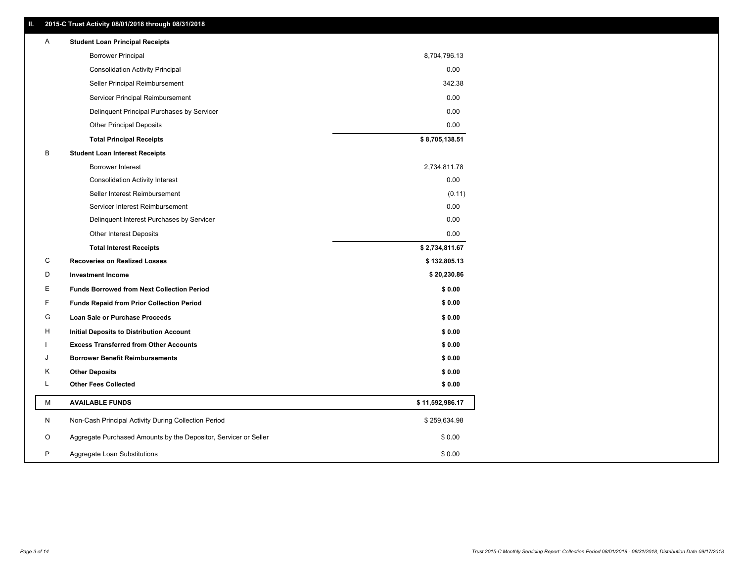| Ш. |   | 2015-C Trust Activity 08/01/2018 through 08/31/2018              |                 |
|----|---|------------------------------------------------------------------|-----------------|
|    | A | <b>Student Loan Principal Receipts</b>                           |                 |
|    |   | <b>Borrower Principal</b>                                        | 8,704,796.13    |
|    |   | <b>Consolidation Activity Principal</b>                          | 0.00            |
|    |   | Seller Principal Reimbursement                                   | 342.38          |
|    |   | Servicer Principal Reimbursement                                 | 0.00            |
|    |   | Delinquent Principal Purchases by Servicer                       | 0.00            |
|    |   | <b>Other Principal Deposits</b>                                  | 0.00            |
|    |   | <b>Total Principal Receipts</b>                                  | \$8,705,138.51  |
|    | В | <b>Student Loan Interest Receipts</b>                            |                 |
|    |   | <b>Borrower Interest</b>                                         | 2,734,811.78    |
|    |   | <b>Consolidation Activity Interest</b>                           | 0.00            |
|    |   | Seller Interest Reimbursement                                    | (0.11)          |
|    |   | Servicer Interest Reimbursement                                  | 0.00            |
|    |   | Delinquent Interest Purchases by Servicer                        | 0.00            |
|    |   | <b>Other Interest Deposits</b>                                   | 0.00            |
|    |   | <b>Total Interest Receipts</b>                                   | \$2,734,811.67  |
|    | С | <b>Recoveries on Realized Losses</b>                             | \$132,805.13    |
|    | D | <b>Investment Income</b>                                         | \$20,230.86     |
|    | Е | <b>Funds Borrowed from Next Collection Period</b>                | \$0.00          |
|    | F | <b>Funds Repaid from Prior Collection Period</b>                 | \$0.00          |
|    | G | Loan Sale or Purchase Proceeds                                   | \$0.00          |
|    | н | <b>Initial Deposits to Distribution Account</b>                  | \$0.00          |
|    |   | <b>Excess Transferred from Other Accounts</b>                    | \$0.00          |
|    | J | <b>Borrower Benefit Reimbursements</b>                           | \$0.00          |
|    | κ | <b>Other Deposits</b>                                            | \$0.00          |
|    | L | <b>Other Fees Collected</b>                                      | \$0.00          |
|    | М | <b>AVAILABLE FUNDS</b>                                           | \$11,592,986.17 |
|    | N | Non-Cash Principal Activity During Collection Period             | \$259,634.98    |
|    | O | Aggregate Purchased Amounts by the Depositor, Servicer or Seller | \$0.00          |
|    | P | Aggregate Loan Substitutions                                     | \$0.00          |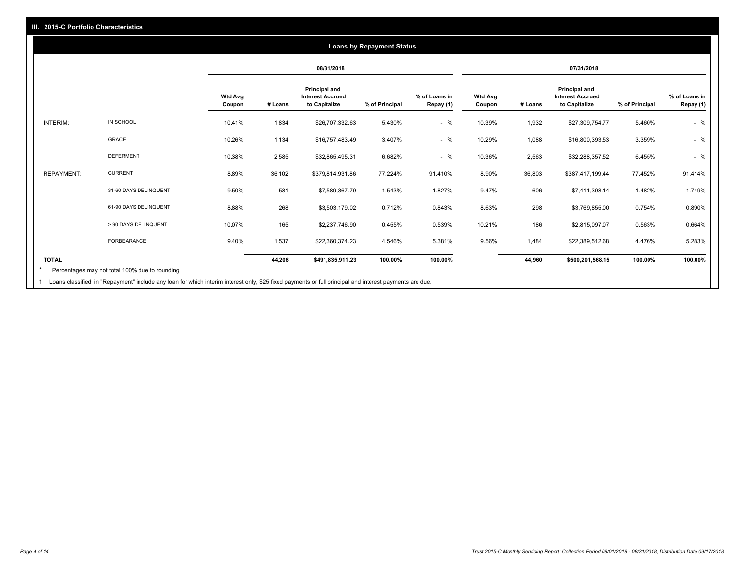## **08/31/2018 07/31/2018 Wtd Avg Coupon # Loans Principal and Interest Accrued to Capitalize % of Principal % of Loans in Repay (1) Wtd Avg Coupon # Loans Principal and Interest Accrued to Capitalize % of Principal % of Loans in Repay (1)**  INTERIM: IN SCHOOL 10.41% 1,834 \$26,707,332.63 5.430% - % 10.39% 1,932 \$27,309,754.77 5.460% - % GRACE 10.26% 1,134 \$16,757,483.49 3.407% - % 10.29% 1,088 \$16,800,393.53 3.359% - % DEFERMENT 10.38% 2,585 \$32,865,495.31 6.682% - % 10.36% 2,563 \$32,288,357.52 6.455% - % REPAYMENT: CURRENT 8.89% 36,102 \$379,814,931.86 77.224% 91.410% 8.90% 36,803 \$387,417,199.44 77.452% 91.414% 31-60 DAYS DELINQUENT 9.50% 581 \$7,589,367.79 1.543% 1.827% 606 \$7,411,398.14 1.482% 1.749% 61-90 DAYS DELINQUENT 8.88% 268 \$3,503,179.02 0.712% 0.843% 8.63% 298 \$3,769,855.00 0.754% 0.890% > 90 DAYS DELINQUENT 10.07% 165 \$2,237,746.90 0.455% 0.539% 10.21% 186 \$2,815,097.07 0.563% 0.664% FORBEARANCE 9.40% 1,537 \$22,360,374.23 4.546% 5.381% 9.56% 1,484 \$22,389,512.68 4.476% 5.283% **TOTAL 44,206 \$491,835,911.23 100.00% 100.00% 44,960 \$500,201,568.15 100.00% 100.00% Loans by Repayment Status** Percentages may not total 100% due to rounding \*

Loans classified in "Repayment" include any loan for which interim interest only, \$25 fixed payments or full principal and interest payments are due. 1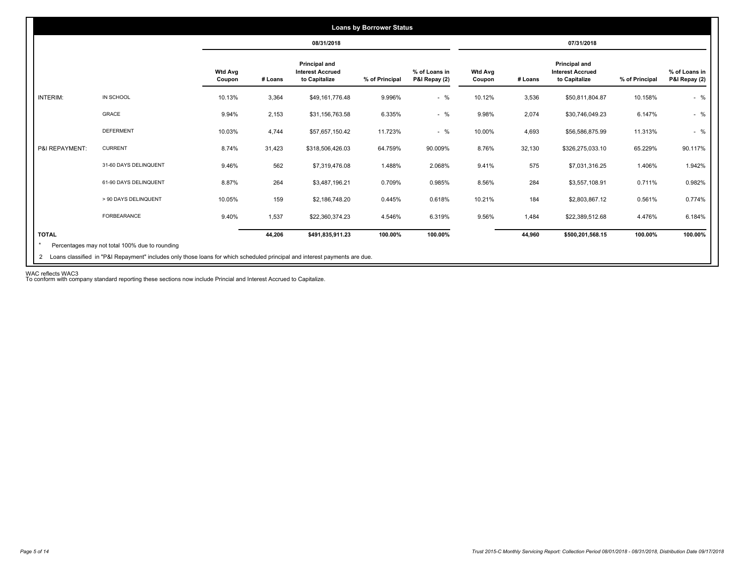|                 |                       |                          |         | 08/31/2018                                                |                |                                |                          |         | 07/31/2018                                                       |                |                                |
|-----------------|-----------------------|--------------------------|---------|-----------------------------------------------------------|----------------|--------------------------------|--------------------------|---------|------------------------------------------------------------------|----------------|--------------------------------|
|                 |                       | <b>Wtd Avg</b><br>Coupon | # Loans | Principal and<br><b>Interest Accrued</b><br>to Capitalize | % of Principal | % of Loans in<br>P&I Repay (2) | <b>Wtd Avg</b><br>Coupon | # Loans | <b>Principal and</b><br><b>Interest Accrued</b><br>to Capitalize | % of Principal | % of Loans in<br>P&I Repay (2) |
| <b>INTERIM:</b> | IN SCHOOL             | 10.13%                   | 3,364   | \$49,161,776.48                                           | 9.996%         | $-$ %                          | 10.12%                   | 3,536   | \$50,811,804.87                                                  | 10.158%        | $-$ %                          |
|                 | GRACE                 | 9.94%                    | 2,153   | \$31,156,763.58                                           | 6.335%         | $-$ %                          | 9.98%                    | 2,074   | \$30,746,049.23                                                  | 6.147%         | $-$ %                          |
|                 | <b>DEFERMENT</b>      | 10.03%                   | 4,744   | \$57,657,150.42                                           | 11.723%        | $-$ %                          | 10.00%                   | 4,693   | \$56,586,875.99                                                  | 11.313%        | $-$ %                          |
| P&I REPAYMENT:  | <b>CURRENT</b>        | 8.74%                    | 31,423  | \$318,506,426.03                                          | 64.759%        | 90.009%                        | 8.76%                    | 32,130  | \$326,275,033.10                                                 | 65.229%        | 90.117%                        |
|                 | 31-60 DAYS DELINQUENT | 9.46%                    | 562     | \$7,319,476.08                                            | 1.488%         | 2.068%                         | 9.41%                    | 575     | \$7,031,316.25                                                   | 1.406%         | 1.942%                         |
|                 | 61-90 DAYS DELINQUENT | 8.87%                    | 264     | \$3,487,196.21                                            | 0.709%         | 0.985%                         | 8.56%                    | 284     | \$3,557,108.91                                                   | 0.711%         | 0.982%                         |
|                 | > 90 DAYS DELINQUENT  | 10.05%                   | 159     | \$2,186,748.20                                            | 0.445%         | 0.618%                         | 10.21%                   | 184     | \$2,803,867.12                                                   | 0.561%         | 0.774%                         |
|                 | FORBEARANCE           | 9.40%                    | 1,537   | \$22,360,374.23                                           | 4.546%         | 6.319%                         | 9.56%                    | 1,484   | \$22,389,512.68                                                  | 4.476%         | 6.184%                         |
| <b>TOTAL</b>    |                       |                          | 44,206  | \$491,835,911.23                                          | 100.00%        | 100.00%                        |                          | 44,960  | \$500,201,568.15                                                 | 100.00%        | 100.00%                        |

WAC reflects WAC3 To conform with company standard reporting these sections now include Princial and Interest Accrued to Capitalize.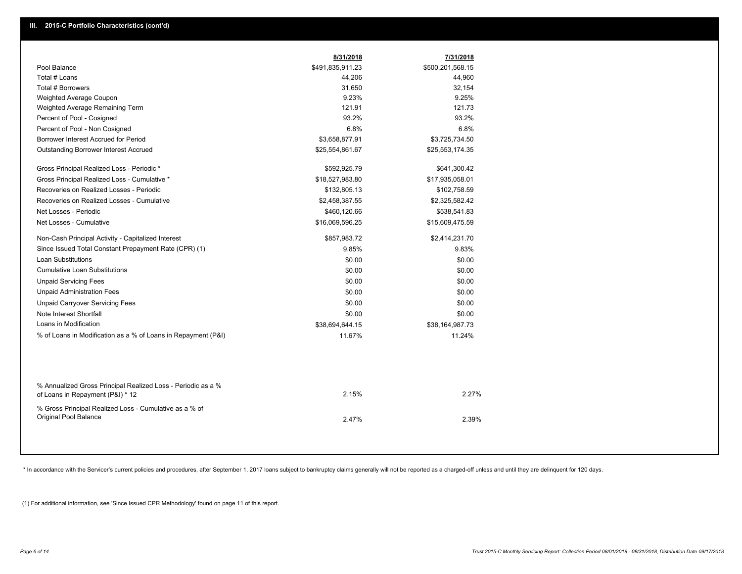|                                                                                                  | 8/31/2018        | 7/31/2018        |
|--------------------------------------------------------------------------------------------------|------------------|------------------|
| Pool Balance                                                                                     | \$491,835,911.23 | \$500,201,568.15 |
| Total # Loans                                                                                    | 44,206           | 44,960           |
| Total # Borrowers                                                                                | 31,650           | 32,154           |
| Weighted Average Coupon                                                                          | 9.23%            | 9.25%            |
| Weighted Average Remaining Term                                                                  | 121.91           | 121.73           |
| Percent of Pool - Cosigned                                                                       | 93.2%            | 93.2%            |
| Percent of Pool - Non Cosigned                                                                   | 6.8%             | 6.8%             |
| Borrower Interest Accrued for Period                                                             | \$3,658,877.91   | \$3,725,734.50   |
| <b>Outstanding Borrower Interest Accrued</b>                                                     | \$25,554,861.67  | \$25,553,174.35  |
| Gross Principal Realized Loss - Periodic *                                                       | \$592,925.79     | \$641,300.42     |
| Gross Principal Realized Loss - Cumulative *                                                     | \$18,527,983.80  | \$17,935,058.01  |
| Recoveries on Realized Losses - Periodic                                                         | \$132,805.13     | \$102,758.59     |
| Recoveries on Realized Losses - Cumulative                                                       | \$2,458,387.55   | \$2,325,582.42   |
| Net Losses - Periodic                                                                            | \$460,120.66     | \$538,541.83     |
| Net Losses - Cumulative                                                                          | \$16,069,596.25  | \$15,609,475.59  |
| Non-Cash Principal Activity - Capitalized Interest                                               | \$857,983.72     | \$2,414,231.70   |
| Since Issued Total Constant Prepayment Rate (CPR) (1)                                            | 9.85%            | 9.83%            |
| <b>Loan Substitutions</b>                                                                        | \$0.00           | \$0.00           |
| <b>Cumulative Loan Substitutions</b>                                                             | \$0.00           | \$0.00           |
| <b>Unpaid Servicing Fees</b>                                                                     | \$0.00           | \$0.00           |
| <b>Unpaid Administration Fees</b>                                                                | \$0.00           | \$0.00           |
| <b>Unpaid Carryover Servicing Fees</b>                                                           | \$0.00           | \$0.00           |
| Note Interest Shortfall                                                                          | \$0.00           | \$0.00           |
| Loans in Modification                                                                            | \$38,694,644.15  | \$38,164,987.73  |
| % of Loans in Modification as a % of Loans in Repayment (P&I)                                    | 11.67%           | 11.24%           |
|                                                                                                  |                  |                  |
| % Annualized Gross Principal Realized Loss - Periodic as a %<br>of Loans in Repayment (P&I) * 12 | 2.15%            | 2.27%            |
| % Gross Principal Realized Loss - Cumulative as a % of<br>Original Pool Balance                  | 2.47%            | 2.39%            |

\* In accordance with the Servicer's current policies and procedures, after September 1, 2017 loans subject to bankruptcy claims generally will not be reported as a charged-off unless and until they are delinquent for 120 d

(1) For additional information, see 'Since Issued CPR Methodology' found on page 11 of this report.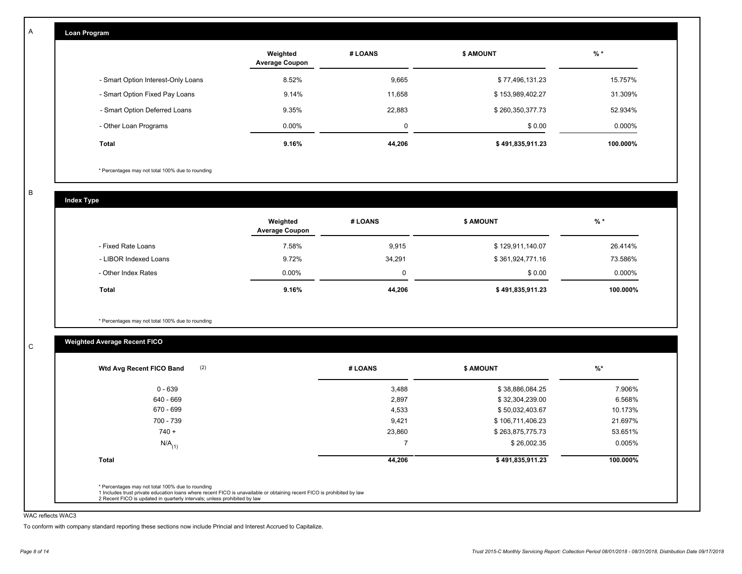| Loan Program                       |                                   |         |                  |          |
|------------------------------------|-----------------------------------|---------|------------------|----------|
|                                    | Weighted<br><b>Average Coupon</b> | # LOANS | <b>\$ AMOUNT</b> | $%$ *    |
| - Smart Option Interest-Only Loans | 8.52%                             | 9,665   | \$77,496,131.23  | 15.757%  |
| - Smart Option Fixed Pay Loans     | 9.14%                             | 11,658  | \$153,989,402.27 | 31.309%  |
| - Smart Option Deferred Loans      | 9.35%                             | 22,883  | \$260,350,377.73 | 52.934%  |
| - Other Loan Programs              | $0.00\%$                          | 0       | \$0.00           | 0.000%   |
| Total                              | 9.16%                             | 44,206  | \$491,835,911.23 | 100.000% |

\* Percentages may not total 100% due to rounding

B

C

A

**Index Type**

|                       | Weighted<br><b>Average Coupon</b> | # LOANS  | \$ AMOUNT        | $%$ *    |
|-----------------------|-----------------------------------|----------|------------------|----------|
| Fixed Rate Loans      | 7.58%                             | 9,915    | \$129,911,140.07 | 26.414%  |
| - LIBOR Indexed Loans | 9.72%                             | 34.291   | \$361,924,771.16 | 73.586%  |
| - Other Index Rates   | $0.00\%$                          | $\Omega$ | \$0.00           | 0.000%   |
| <b>Total</b>          | 9.16%                             | 44,206   | \$491,835,911.23 | 100.000% |

\* Percentages may not total 100% due to rounding

## **Weighted Average Recent FICO**

| 0 - 639              | 3,488  | \$38,886,084.25  | 7.906%   |
|----------------------|--------|------------------|----------|
| 640 - 669            | 2,897  | \$32,304,239.00  | 6.568%   |
| 670 - 699            | 4,533  | \$50,032,403.67  | 10.173%  |
| 700 - 739            | 9,421  | \$106,711,406.23 | 21.697%  |
| $740 +$              | 23,860 | \$263,875,775.73 | 53.651%  |
| $N/A$ <sub>(1)</sub> |        | \$26,002.35      | 0.005%   |
| <b>Total</b>         | 44,206 | \$491,835,911.23 | 100.000% |

### WAC reflects WAC3

To conform with company standard reporting these sections now include Princial and Interest Accrued to Capitalize.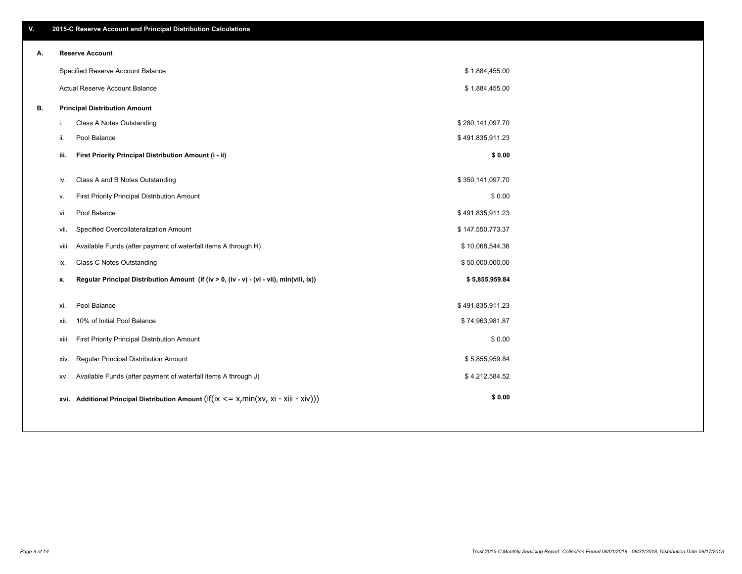| Α. |       | <b>Reserve Account</b>                                                                     |                  |  |
|----|-------|--------------------------------------------------------------------------------------------|------------------|--|
|    |       | Specified Reserve Account Balance                                                          | \$1,884,455.00   |  |
|    |       | <b>Actual Reserve Account Balance</b>                                                      | \$1,884,455.00   |  |
| В. |       | <b>Principal Distribution Amount</b>                                                       |                  |  |
|    | i.    | Class A Notes Outstanding                                                                  | \$280,141,097.70 |  |
|    | ii.   | Pool Balance                                                                               | \$491,835,911.23 |  |
|    | iii.  | First Priority Principal Distribution Amount (i - ii)                                      | \$0.00           |  |
|    | iv.   | Class A and B Notes Outstanding                                                            | \$350,141,097.70 |  |
|    | ν.    | First Priority Principal Distribution Amount                                               | \$0.00           |  |
|    | vi.   | Pool Balance                                                                               | \$491,835,911.23 |  |
|    | vii.  | Specified Overcollateralization Amount                                                     | \$147,550,773.37 |  |
|    | viii. | Available Funds (after payment of waterfall items A through H)                             | \$10,068,544.36  |  |
|    | ix.   | <b>Class C Notes Outstanding</b>                                                           | \$50,000,000.00  |  |
|    | х.    | Regular Principal Distribution Amount (if (iv > 0, (iv - v) - (vi - vii), min(viii, ix))   | \$5,855,959.84   |  |
|    | xi.   | Pool Balance                                                                               | \$491,835,911.23 |  |
|    | xii.  | 10% of Initial Pool Balance                                                                | \$74,963,981.87  |  |
|    | xiii. | First Priority Principal Distribution Amount                                               | \$0.00           |  |
|    | xiv.  | Regular Principal Distribution Amount                                                      | \$5,855,959.84   |  |
|    | XV.   | Available Funds (after payment of waterfall items A through J)                             | \$4,212,584.52   |  |
|    |       | xvi. Additional Principal Distribution Amount (if(ix $\lt$ = x, min(xv, xi - xiii - xiv))) | \$0.00           |  |
|    |       |                                                                                            |                  |  |

# **A. Reserve Account**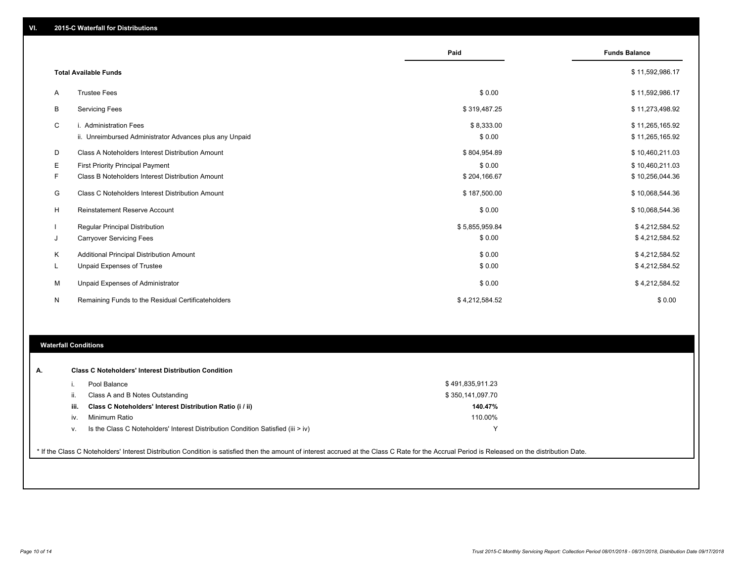|    |                                                         | Paid           | <b>Funds Balance</b> |
|----|---------------------------------------------------------|----------------|----------------------|
|    | <b>Total Available Funds</b>                            |                | \$11,592,986.17      |
| Α  | <b>Trustee Fees</b>                                     | \$0.00         | \$11,592,986.17      |
| В  | <b>Servicing Fees</b>                                   | \$319,487.25   | \$11,273,498.92      |
| C  | i. Administration Fees                                  | \$8,333.00     | \$11,265,165.92      |
|    | ii. Unreimbursed Administrator Advances plus any Unpaid | \$0.00         | \$11,265,165.92      |
| D  | Class A Noteholders Interest Distribution Amount        | \$804,954.89   | \$10,460,211.03      |
| Е  | First Priority Principal Payment                        | \$0.00         | \$10,460,211.03      |
| F. | Class B Noteholders Interest Distribution Amount        | \$204,166.67   | \$10,256,044.36      |
| G  | Class C Noteholders Interest Distribution Amount        | \$187,500.00   | \$10,068,544.36      |
| Н  | <b>Reinstatement Reserve Account</b>                    | \$0.00         | \$10,068,544.36      |
|    | <b>Regular Principal Distribution</b>                   | \$5,855,959.84 | \$4,212,584.52       |
| J  | <b>Carryover Servicing Fees</b>                         | \$0.00         | \$4,212,584.52       |
| Κ  | Additional Principal Distribution Amount                | \$0.00         | \$4,212,584.52       |
| L  | Unpaid Expenses of Trustee                              | \$0.00         | \$4,212,584.52       |
| М  | Unpaid Expenses of Administrator                        | \$0.00         | \$4,212,584.52       |
| N  | Remaining Funds to the Residual Certificateholders      | \$4,212,584.52 | \$0.00               |

## **Waterfall Conditions**

| А. |      | <b>Class C Noteholders' Interest Distribution Condition</b>                        |                  |  |
|----|------|------------------------------------------------------------------------------------|------------------|--|
|    |      | Pool Balance                                                                       | \$491,835,911.23 |  |
|    | ii.  | Class A and B Notes Outstanding                                                    | \$350,141,097.70 |  |
|    | iii. | Class C Noteholders' Interest Distribution Ratio (i / ii)                          | 140.47%          |  |
|    | IV.  | Minimum Ratio                                                                      | 110.00%          |  |
|    | V.   | Is the Class C Noteholders' Interest Distribution Condition Satisfied (iii $>$ iv) |                  |  |
|    |      |                                                                                    |                  |  |

\* If the Class C Noteholders' Interest Distribution Condition is satisfied then the amount of interest accrued at the Class C Rate for the Accrual Period is Released on the distribution Date.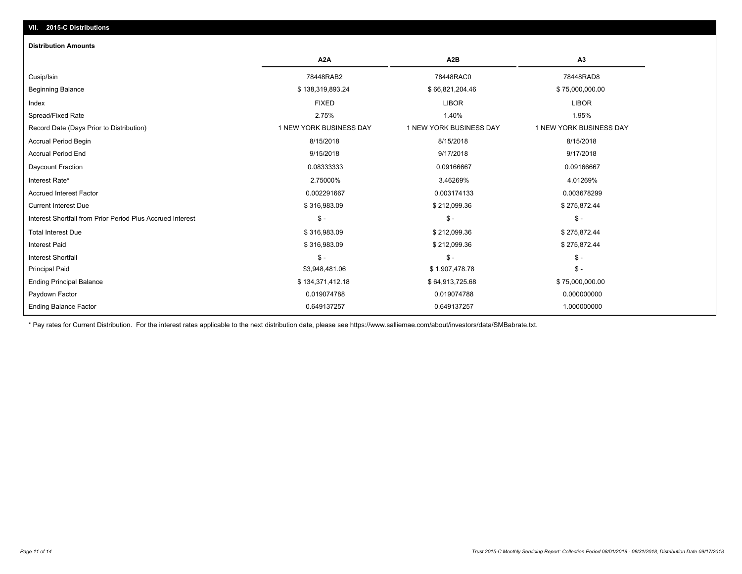# **VII. 2015-C Distributions**

### **Distribution Amounts**

|                                                            | A <sub>2</sub> A        | A <sub>2</sub> B        | A <sub>3</sub>          |
|------------------------------------------------------------|-------------------------|-------------------------|-------------------------|
| Cusip/Isin                                                 | 78448RAB2               | 78448RAC0               | 78448RAD8               |
| <b>Beginning Balance</b>                                   | \$138,319,893.24        | \$66,821,204.46         | \$75,000,000.00         |
| Index                                                      | <b>FIXED</b>            | <b>LIBOR</b>            | <b>LIBOR</b>            |
| Spread/Fixed Rate                                          | 2.75%                   | 1.40%                   | 1.95%                   |
| Record Date (Days Prior to Distribution)                   | 1 NEW YORK BUSINESS DAY | 1 NEW YORK BUSINESS DAY | 1 NEW YORK BUSINESS DAY |
| <b>Accrual Period Begin</b>                                | 8/15/2018               | 8/15/2018               | 8/15/2018               |
| <b>Accrual Period End</b>                                  | 9/15/2018               | 9/17/2018               | 9/17/2018               |
| Daycount Fraction                                          | 0.08333333              | 0.09166667              | 0.09166667              |
| Interest Rate*                                             | 2.75000%                | 3.46269%                | 4.01269%                |
| <b>Accrued Interest Factor</b>                             | 0.002291667             | 0.003174133             | 0.003678299             |
| <b>Current Interest Due</b>                                | \$316,983.09            | \$212,099.36            | \$275,872.44            |
| Interest Shortfall from Prior Period Plus Accrued Interest | $S -$                   | $\mathsf{\$}$ -         | $\mathsf{\$}$ -         |
| <b>Total Interest Due</b>                                  | \$316,983.09            | \$212,099.36            | \$275,872.44            |
| <b>Interest Paid</b>                                       | \$316,983.09            | \$212,099.36            | \$275,872.44            |
| <b>Interest Shortfall</b>                                  | $\mathsf{\$}$ -         | \$ -                    | $\mathsf{\$}$ -         |
| <b>Principal Paid</b>                                      | \$3,948,481.06          | \$1,907,478.78          | $\mathsf{\$}$ -         |
| <b>Ending Principal Balance</b>                            | \$134,371,412.18        | \$64,913,725.68         | \$75,000,000.00         |
| Paydown Factor                                             | 0.019074788             | 0.019074788             | 0.000000000             |
| <b>Ending Balance Factor</b>                               | 0.649137257             | 0.649137257             | 1.000000000             |

\* Pay rates for Current Distribution. For the interest rates applicable to the next distribution date, please see https://www.salliemae.com/about/investors/data/SMBabrate.txt.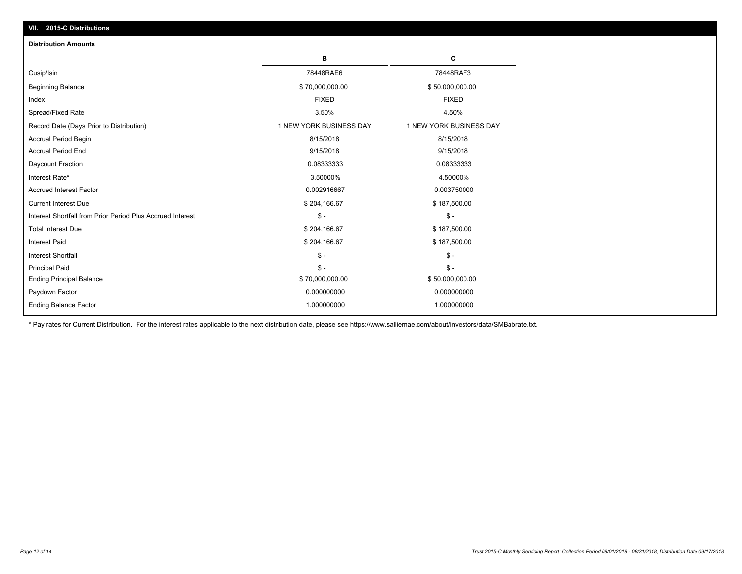| <b>Distribution Amounts</b>                                |                         |                         |
|------------------------------------------------------------|-------------------------|-------------------------|
|                                                            | в                       | C                       |
| Cusip/Isin                                                 | 78448RAE6               | 78448RAF3               |
| <b>Beginning Balance</b>                                   | \$70,000,000.00         | \$50,000,000.00         |
| Index                                                      | <b>FIXED</b>            | <b>FIXED</b>            |
| Spread/Fixed Rate                                          | 3.50%                   | 4.50%                   |
| Record Date (Days Prior to Distribution)                   | 1 NEW YORK BUSINESS DAY | 1 NEW YORK BUSINESS DAY |
| <b>Accrual Period Begin</b>                                | 8/15/2018               | 8/15/2018               |
| <b>Accrual Period End</b>                                  | 9/15/2018               | 9/15/2018               |
| Daycount Fraction                                          | 0.08333333              | 0.08333333              |
| Interest Rate*                                             | 3.50000%                | 4.50000%                |
| <b>Accrued Interest Factor</b>                             | 0.002916667             | 0.003750000             |
| <b>Current Interest Due</b>                                | \$204,166.67            | \$187,500.00            |
| Interest Shortfall from Prior Period Plus Accrued Interest | $\mathsf{\$}$ -         | $\mathsf{\$}$ -         |
| <b>Total Interest Due</b>                                  | \$204,166.67            | \$187,500.00            |
| <b>Interest Paid</b>                                       | \$204,166.67            | \$187,500.00            |
| <b>Interest Shortfall</b>                                  | $\mathsf{\$}$ -         | $\mathsf{\$}$ -         |
| <b>Principal Paid</b>                                      | $S -$                   | $S -$                   |
| <b>Ending Principal Balance</b>                            | \$70,000,000.00         | \$50,000,000.00         |
| Paydown Factor                                             | 0.000000000             | 0.000000000             |
| <b>Ending Balance Factor</b>                               | 1.000000000             | 1.000000000             |

\* Pay rates for Current Distribution. For the interest rates applicable to the next distribution date, please see https://www.salliemae.com/about/investors/data/SMBabrate.txt.

**VII. 2015-C Distributions**